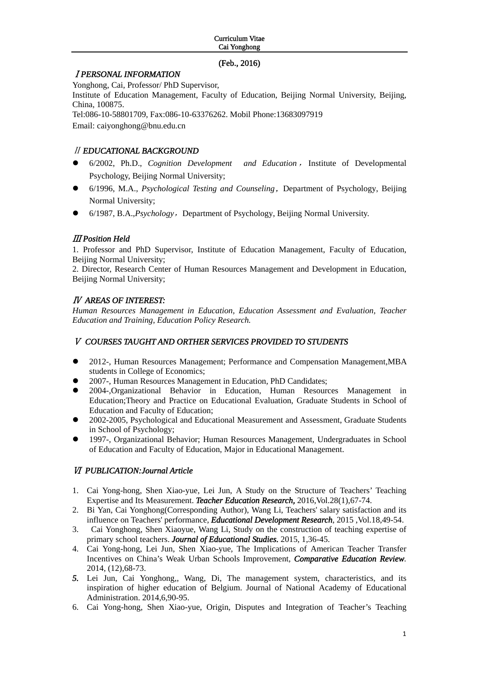### (Feb., 2016)

## Ⅰ*PERSONAL INFORMATION*

Yonghong, Cai, Professor/ PhD Supervisor, Institute of Education Management, Faculty of Education, Beijing Normal University, Beijing, China, 100875. Tel:086-10-58801709, Fax:086-10-63376262. Mobil Phone:13683097919 Email: caiyonghong@bnu.edu.cn

# Ⅱ *EDUCATIONAL BACKGROUND*

- z 6/2002, Ph.D., *Cognition Development and Education* , Institute of Developmental Psychology, Beijing Normal University;
- **•** 6/1996, M.A., *Psychological Testing and Counseling*, Department of Psychology, Beijing Normal University;
- 6/1987, B.A., *Psychology*, Department of Psychology, Beijing Normal University.

## Ⅲ *Position Held*

1. Professor and PhD Supervisor, Institute of Education Management, Faculty of Education, Beijing Normal University;

2. Director, Research Center of Human Resources Management and Development in Education, Beijing Normal University;

## Ⅳ *AREAS OF INTEREST:*

*Human Resources Management in Education, Education Assessment and Evaluation, Teacher Education and Training, Education Policy Research.* 

### Ⅴ *COURSES TAUGHT AND ORTHER SERVICES PROVIDED TO STUDENTS*

- 2012-, Human Resources Management; Performance and Compensation Management, MBA students in College of Economics;
- z 2007-, Human Resources Management in Education, PhD Candidates;
- z 2004-,Organizational Behavior in Education, Human Resources Management in Education;Theory and Practice on Educational Evaluation, Graduate Students in School of Education and Faculty of Education;
- z 2002-2005, Psychological and Educational Measurement and Assessment, Graduate Students in School of Psychology;
- 1997-, Organizational Behavior; Human Resources Management, Undergraduates in School of Education and Faculty of Education, Major in Educational Management.

# Ⅵ *PUBLICATION:Journal Article*

- 1. Cai Yong-hong, Shen Xiao-yue, Lei Jun, A Study on the Structure of Teachers' Teaching Expertise and Its Measurement. *Teacher Education Research,* 2016,Vol.28(1),67-74.
- 2. Bi Yan, Cai Yonghong(Corresponding Author), Wang Li, Teachers' salary satisfaction and its influence on Teachers' performance, *Educational Development Research*, 2015 ,Vol.18,49-54.
- 3. Cai Yonghong, Shen Xiaoyue, Wang Li, Study on the construction of teaching expertise of primary school teachers. *Journal of Educational Studies.* 2015, 1,36-45.
- 4. Cai Yong-hong, Lei Jun, Shen Xiao-yue, The Implications of American Teacher Transfer Incentives on China's Weak Urban Schools Improvement, *Comparative Education Review.* 2014, (12),68-73.
- *5.* Lei Jun, Cai Yonghong,, Wang, Di, The management system, characteristics, and its inspiration of higher education of Belgium. Journal of National Academy of Educational Administration. 2014,6,90-95.
- 6. Cai Yong-hong, Shen Xiao-yue, Origin, Disputes and Integration of Teacher's Teaching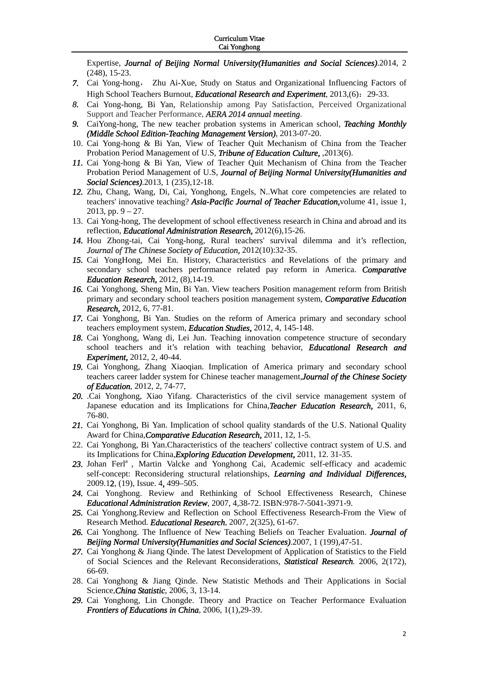Expertise, *Journal of Beijing Normal University(Humanities and Social Sciences)*.2014, 2 (248), 15-23.

- *7.* Cai Yong-hong, Zhu Ai-Xue, Study on Status and Organizational Influencing Factors of High School Teachers Burnout, *Educational Research and Experiment*, 2013,(6): 29-33.
- *8.* Cai Yong-hong, Bi Yan, Relationship among Pay Satisfaction, Perceived Organizational Support and Teacher Performance, *AERA 2014 annual meeting*.
- *9.* CaiYong-hong, The new teacher probation systems in American school, *Teaching Monthly (Middle School Edition-Teaching Management Version)*, 2013-07-20.
- 10. Cai Yong-hong & Bi Yan, View of Teacher Quit Mechanism of China from the Teacher Probation Period Management of U.S, *Tribune of Education Culture,* ,2013(6).
- *11.* Cai Yong-hong & Bi Yan, View of Teacher Quit Mechanism of China from the Teacher Probation Period Management of U.S, *Journal of Beijing Normal University(Humanities and Social Sciences)*.2013, 1 (235),12-18.
- *12.* Zhu, Chang, Wang, Di, Cai, Yonghong, Engels, N..What core competencies are related to teachers' innovative teaching? *Asia-Pacific Journal of Teacher Education,*volume 41, issue 1, 2013, pp. 9 – 27.
- 13. Cai Yong-hong, The development of school effectiveness research in China and abroad and its reflection, *Educational Administration Research,* 2012(6),15-26.
- *14.* Hou Zhong-tai, Cai Yong-hong, Rural teachers' survival dilemma and it's reflection, *Journal of The Chinese Society of Education,* 2012(10):32-35.
- *15.* Cai YongHong, Mei En. History, Characteristics and Revelations of the primary and secondary school teachers performance related pay reform in America. *Comparative Education Research,* 2012, (8),14-19.
- *16.* Cai Yonghong, Sheng Min, Bi Yan. View teachers Position management reform from British primary and secondary school teachers position management system, *Comparative Education Research,* 2012, 6, 77-81.
- *17.* Cai Yonghong, Bi Yan. Studies on the reform of America primary and secondary school teachers employment system, *Education Studies,* 2012, 4, 145-148.
- *18.* Cai Yonghong, Wang di, Lei Jun. Teaching innovation competence structure of secondary school teachers and it's relation with teaching behavior, *Educational Research and Experiment,* 2012, 2, 40-44.
- *19.* Cai Yonghong, Zhang Xiaoqian. Implication of America primary and secondary school teachers career ladder system for Chinese teacher management,*Journal of the Chinese Society of Education.* 2012, 2, 74-77*.*
- *20.* .Cai Yonghong, Xiao Yifang. Characteristics of the civil service management system of Japanese education and its Implications for China,*Teacher Education Research,* 2011, 6, 76-80.
- *21.* Cai Yonghong, Bi Yan. Implication of school quality standards of the U.S. National Quality Award for China,*Comparative Education Research,* 2011, 12, 1-5.
- 22. Cai Yonghong, Bi Yan.Characteristics of the teachers' collective contract system of U.S. and its Implications for China,*Exploring Education Development,* 2011, 12. 31-35.
- 23. Johan Ferl<sup>a</sup>, Martin Valcke and Yonghong Cai, Academic self-efficacy and academic self-concept: Reconsidering structural relationships, *Learning and Individual Differences,* 2009.12, (19), Issue. 4, 499–505.
- *24.* Cai Yonghong. Review and Rethinking of School Effectiveness Research, Chinese *Educational Administration Review*, 2007, 4,38-72. ISBN:978-7-5041-3971-9.
- *25.* Cai Yonghong.Review and Reflection on School Effectiveness Research-From the View of Research Method. *Educational Research*, 2007, 2(325), 61-67.
- *26.* Cai Yonghong. The Influence of New Teaching Beliefs on Teacher Evaluation. *Journal of Beijing Normal University(Humanities and Social Sciences)*.2007, 1 (199),47-51.
- *27.* Cai Yonghong & Jiang Qinde. The latest Development of Application of Statistics to the Field of Social Sciences and the Relevant Reconsiderations, *Statistical Research.* 2006, 2(172), 66-69.
- 28. Cai Yonghong & Jiang Qinde. New Statistic Methods and Their Applications in Social Science,*China Statistic*, 2006, 3, 13-14.
- *29.* Cai Yonghong, Lin Chongde. Theory and Practice on Teacher Performance Evaluation *Frontiers of Educations in China*, 2006, 1(1),29-39.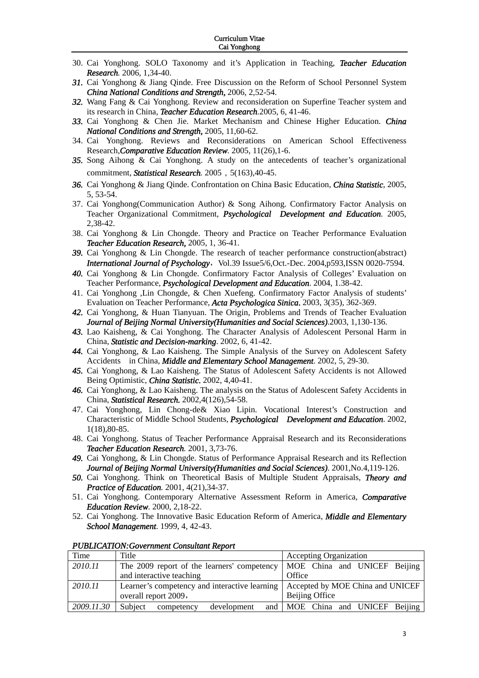- 30. Cai Yonghong. SOLO Taxonomy and it's Application in Teaching, *Teacher Education Research.* 2006, 1,34-40.
- *31.* Cai Yonghong & Jiang Qinde. Free Discussion on the Reform of School Personnel System *China National Conditions and Strength,* 2006, 2,52-54.
- *32.* Wang Fang & Cai Yonghong. Review and reconsideration on Superfine Teacher system and its research in China, *Teacher Education Research.*2005, 6, 41-46.
- *33.* Cai Yonghong & Chen Jie. Market Mechanism and Chinese Higher Education. *China National Conditions and Strength,* 2005, 11,60-62.
- 34. Cai Yonghong. Reviews and Reconsiderations on American School Effectiveness Research,*Comparative Education Review.* 2005, 11(26),1-6.
- *35.* Song Aihong & Cai Yonghong. A study on the antecedents of teacher's organizational commitment, *Statistical Research.* 2005, 5(163), 40-45.
- *36.* Cai Yonghong & Jiang Qinde. Confrontation on China Basic Education, *China Statistic*, 2005, 5, 53-54.
- 37. Cai Yonghong(Communication Author) & Song Aihong. Confirmatory Factor Analysis on Teacher Organizational Commitment, *Psychological Development and Education*. 2005, 2,38-42.
- 38. Cai Yonghong & Lin Chongde. Theory and Practice on Teacher Performance Evaluation *Teacher Education Research,* 2005, 1, 36-41.
- *39.* Cai Yonghong & Lin Chongde. The research of teacher performance construction(abstract) *International Journal of Psychology*, Vol.39 Issue5/6,Oct.-Dec. 2004,p593,ISSN 0020-7594.
- *40.* Cai Yonghong & Lin Chongde. Confirmatory Factor Analysis of Colleges' Evaluation on Teacher Performance, *Psychological Development and Education*. 2004, 1.38-42.
- 41. Cai Yonghong ,Lin Chongde, & Chen Xuefeng. Confirmatory Factor Analysis of students' Evaluation on Teacher Performance, *Acta Psychologica Sinica*. 2003, 3(35), 362-369.
- *42.* Cai Yonghong, & Huan Tianyuan. The Origin, Problems and Trends of Teacher Evaluation *Journal of Beijing Normal University(Humanities and Social Sciences)*.2003, 1,130-136.
- *43.* Lao Kaisheng, & Cai Yonghong. The Character Analysis of Adolescent Personal Harm in China, *Statistic and Decision-marking*. 2002, 6, 41-42.
- *44.* Cai Yonghong, & Lao Kaisheng. The Simple Analysis of the Survey on Adolescent Safety Accidents in China, *Middle and Elementary School Management*. 2002, 5, 29-30.
- *45.* Cai Yonghong, & Lao Kaisheng. The Status of Adolescent Safety Accidents is not Allowed Being Optimistic, *China Statistic.* 2002, 4,40-41.
- *46.* Cai Yonghong, & Lao Kaisheng. The analysis on the Status of Adolescent Safety Accidents in China, *Statistical Research.* 2002,4(126),54-58.
- 47. Cai Yonghong, Lin Chong-de& Xiao Lipin. Vocational Interest's Construction and Characteristic of Middle School Students, *Psychological Development and Education*. 2002, 1(18),80-85.
- 48. Cai Yonghong. Status of Teacher Performance Appraisal Research and its Reconsiderations *Teacher Education Research.* 2001, 3,73-76.
- *49.* Cai Yonghong, & Lin Chongde. Status of Performance Appraisal Research and its Reflection *Journal of Beijing Normal University(Humanities and Social Sciences)*. 2001,No.4,119-126.
- *50.* Cai Yonghong. Think on Theoretical Basis of Multiple Student Appraisals, *Theory and Practice of Education.* 2001, 4(21),34-37.
- 51. Cai Yonghong. Contemporary Alternative Assessment Reform in America, *Comparative Education Review.* 2000, 2,18-22.
- 52. Cai Yonghong. The Innovative Basic Education Reform of America, *Middle and Elementary School Management*. 1999, 4, 42-43.

| Time       | Title                                                                      | <b>Accepting Organization</b>    |  |  |
|------------|----------------------------------------------------------------------------|----------------------------------|--|--|
| 2010.11    | The 2009 report of the learners' competency   MOE China and UNICEF Beijing |                                  |  |  |
|            | and interactive teaching                                                   | Office                           |  |  |
| 2010.11    | Learner's competency and interactive learning                              | Accepted by MOE China and UNICEF |  |  |
|            | overall report 2009,                                                       | Beijing Office                   |  |  |
| 2009.11.30 | development<br>Subject<br>competency                                       | and MOE China and UNICEF Beijing |  |  |

*PUBLICATION:Government Consultant Report*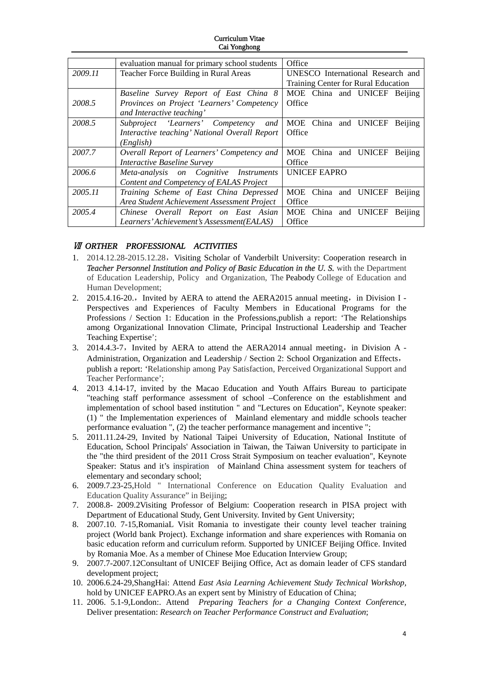#### Curriculum Vitae Cai Yonghong

|         | evaluation manual for primary school students | Office                              |
|---------|-----------------------------------------------|-------------------------------------|
| 2009.11 | Teacher Force Building in Rural Areas         | UNESCO International Research and   |
|         |                                               | Training Center for Rural Education |
|         | <b>Baseline Survey Report of East China 8</b> | MOE China and UNICEF Beijing        |
| 2008.5  | Provinces on Project 'Learners' Competency    | Office                              |
|         | and Interactive teaching'                     |                                     |
| 2008.5  | Subproject 'Learners' Competency<br>and       | MOE<br>China and UNICEF<br>Beijing  |
|         | Interactive teaching' National Overall Report | Office                              |
|         | (English)                                     |                                     |
| 2007.7  | Overall Report of Learners' Competency and    | MOE China and UNICEF<br>Beijing     |
|         | <i>Interactive Baseline Survey</i>            | Office                              |
| 2006.6  | Meta-analysis on Cognitive Instruments        | <b>UNICEF EAPRO</b>                 |
|         | Content and Competency of EALAS Project       |                                     |
| 2005.11 | Training Scheme of East China Depressed       | MOE China and UNICEF<br>Beijing     |
|         | Area Student Achievement Assessment Project   | Office                              |
| 2005.4  | Chinese Overall Report on East Asian          | MOE China and UNICEF<br>Beijing     |
|         | Learners' Achievement's Assessment (EALAS)    | Office                              |

## Ⅶ *ORTHER PROFESSIONAL ACTIVITIES*

- 1. 2014.12.28-2015.12.28,Visiting Scholar of Vanderbilt University: Cooperation research in **Teacher Personnel Institution and Policy of Basic Education in the U.S.** with the Department of Education Leadership, Policy and Organization, The Peabody College of Education and Human Development;
- 2. 2015.4.16-20., Invited by AERA to attend the AERA2015 annual meeting, in Division I -Perspectives and Experiences of Faculty Members in Educational Programs for the Professions / Section 1: Education in the Professions,publish a report: 'The Relationships among Organizational Innovation Climate, Principal Instructional Leadership and Teacher Teaching Expertise';
- 3. 2014.4.3-7, Invited by AERA to attend the AERA2014 annual meeting, in Division A -Administration, Organization and Leadership / Section 2: School Organization and Effects, publish a report: 'Relationship among Pay Satisfaction, Perceived Organizational Support and Teacher Performance';
- 4. 2013 4.14-17, invited by the Macao Education and Youth Affairs Bureau to participate "teaching staff performance assessment of school –Conference on the establishment and implementation of school based institution " and "Lectures on Education", Keynote speaker: (1) " the Implementation experiences of Mainland elementary and middle schools teacher performance evaluation ", (2) the teacher performance management and incentive ";
- 5. 2011.11.24-29, Invited by National Taipei University of Education, National Institute of Education, School Principals' Association in Taiwan, the Taiwan University to participate in the "the third president of the 2011 Cross Strait Symposium on teacher evaluation", Keynote Speaker: Status and it's inspiration of Mainland China assessment system for teachers of elementary and secondary school;
- 6. 2009.7.23-25,Hold " International Conference on Education Quality Evaluation and Education Quality Assurance" in Beijing;
- 7. 2008.8- 2009.2Visiting Professor of Belgium: Cooperation research in PISA project with Department of Educational Study, Gent University. Invited by Gent University;
- 8. 2007.10. 7-15,RomaniaL Visit Romania to investigate their county level teacher training project (World bank Project). Exchange information and share experiences with Romania on basic education reform and curriculum reform. Supported by UNICEF Beijing Office. Invited by Romania Moe. As a member of Chinese Moe Education Interview Group;
- 9. 2007.7-2007.12Consultant of UNICEF Beijing Office, Act as domain leader of CFS standard development project;
- 10. 2006.6.24-29,ShangHai: Attend *East Asia Learning Achievement Study Technical Workshop,* hold by UNICEF EAPRO.As an expert sent by Ministry of Education of China;
- 11. 2006. 5.1-9,London:. Attend *Preparing Teachers for a Changing Context Conference,*  Deliver presentation: *Research on Teacher Performance Construct and Evaluation*;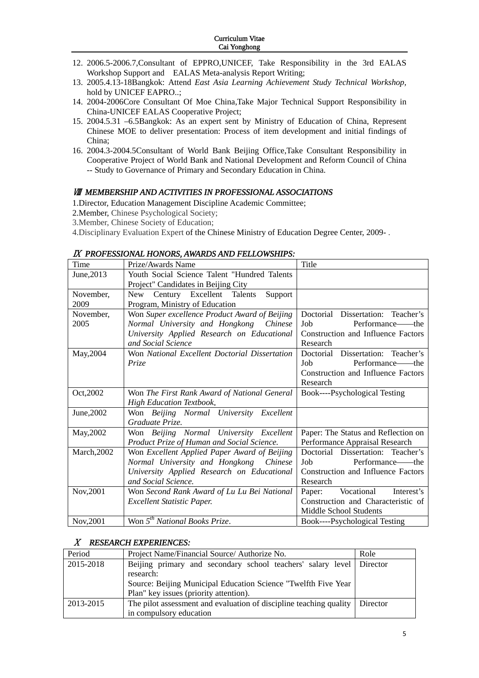- 12. 2006.5-2006.7,Consultant of EPPRO,UNICEF, Take Responsibility in the 3rd EALAS Workshop Support and EALAS Meta-analysis Report Writing;
- 13. 2005.4.13-18Bangkok: Attend *East Asia Learning Achievement Study Technical Workshop,* hold by UNICEF EAPRO..;
- 14. 2004-2006Core Consultant Of Moe China,Take Major Technical Support Responsibility in China-UNICEF EALAS Cooperative Project;
- 15. 2004.5.31 –6.5Bangkok: As an expert sent by Ministry of Education of China, Represent Chinese MOE to deliver presentation: Process of item development and initial findings of China;
- 16. 2004.3-2004.5Consultant of World Bank Beijing Office,Take Consultant Responsibility in Cooperative Project of World Bank and National Development and Reform Council of China -- Study to Governance of Primary and Secondary Education in China.

### **WIEMBERSHIP AND ACTIVITIES IN PROFESSIONAL ASSOCIATIONS**

1.Director, Education Management Discipline Academic Committee;

- 2.Member, Chinese Psychological Society;
- 3.Member, Chinese Society of Education;

4.Disciplinary Evaluation Expert of the Chinese Ministry of Education Degree Center, 2009- .

|             | IA "FROPESSIONAL HONORS, AWARDS AND PELLOWSHIPS. |                                     |
|-------------|--------------------------------------------------|-------------------------------------|
| Time        | Prize/Awards Name                                | Title                               |
| June, 2013  | Youth Social Science Talent "Hundred Talents     |                                     |
|             | Project" Candidates in Beijing City              |                                     |
| November,   | Century Excellent Talents<br>New<br>Support      |                                     |
| 2009        | Program, Ministry of Education                   |                                     |
| November,   | Won Super excellence Product Award of Beijing    | Doctorial Dissertation: Teacher's   |
| 2005        | Normal University and Hongkong Chinese           | Job<br>Performance——the             |
|             | University Applied Research on Educational       | Construction and Influence Factors  |
|             | and Social Science                               | Research                            |
| May, 2004   | Won National Excellent Doctorial Dissertation    | Doctorial Dissertation: Teacher's   |
|             | Prize                                            | Performance——the<br>Job.            |
|             |                                                  | Construction and Influence Factors  |
|             |                                                  | Research                            |
| Oct, 2002   | Won The First Rank Award of National General     | Book----Psychological Testing       |
|             | <b>High Education Textbook.</b>                  |                                     |
| June, 2002  | Won Beijing Normal University Excellent          |                                     |
|             | Graduate Prize.                                  |                                     |
| May, 2002   | Won Beijing Normal University Excellent          | Paper: The Status and Reflection on |
|             | Product Prize of Human and Social Science.       | Performance Appraisal Research      |
| March, 2002 | Won Excellent Applied Paper Award of Beijing     | Doctorial Dissertation: Teacher's   |
|             | Normal University and Hongkong Chinese           | Job<br>Performance——the             |
|             | University Applied Research on Educational       | Construction and Influence Factors  |
|             | and Social Science.                              | Research                            |
| Nov, 2001   | Won Second Rank Award of Lu Lu Bei National      | Vocational<br>Paper:<br>Interest's  |
|             | <b>Excellent Statistic Paper.</b>                | Construction and Characteristic of  |
|             |                                                  | Middle School Students              |
| Nov, 2001   | Won $5^{th}$ National Books Prize.               | Book----Psychological Testing       |

# Ⅸ *PROFESSIONAL HONORS, AWARDS AND FELLOWSHIPS:*

### Ⅹ *RESEARCH EXPERIENCES:*

| Period    | Project Name/Financial Source/ Authorize No.                                  | Role |
|-----------|-------------------------------------------------------------------------------|------|
| 2015-2018 | Beijing primary and secondary school teachers' salary level Director          |      |
|           | research:                                                                     |      |
|           | Source: Beijing Municipal Education Science "Twelfth Five Year                |      |
|           | Plan" key issues (priority attention).                                        |      |
| 2013-2015 | The pilot assessment and evaluation of discipline teaching quality   Director |      |
|           | in compulsory education                                                       |      |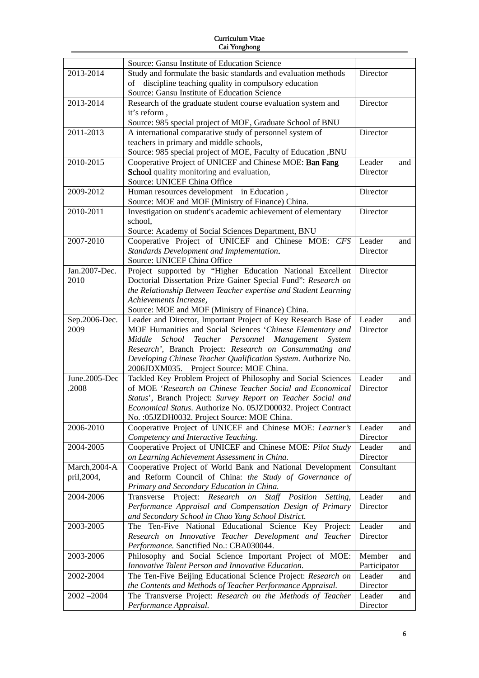|               | Source: Gansu Institute of Education Science                                                               |                        |     |
|---------------|------------------------------------------------------------------------------------------------------------|------------------------|-----|
| 2013-2014     | Study and formulate the basic standards and evaluation methods                                             | Director               |     |
|               | of discipline teaching quality in compulsory education                                                     |                        |     |
|               | Source: Gansu Institute of Education Science                                                               |                        |     |
| 2013-2014     | Research of the graduate student course evaluation system and                                              | Director               |     |
|               | it's reform,                                                                                               |                        |     |
|               | Source: 985 special project of MOE, Graduate School of BNU                                                 |                        |     |
| 2011-2013     | A international comparative study of personnel system of                                                   | Director               |     |
|               | teachers in primary and middle schools,                                                                    |                        |     |
|               | Source: 985 special project of MOE, Faculty of Education , BNU                                             |                        |     |
| 2010-2015     | Cooperative Project of UNICEF and Chinese MOE: Ban Fang                                                    | Leader                 | and |
|               | School quality monitoring and evaluation,<br>Source: UNICEF China Office                                   | Director               |     |
| 2009-2012     | Human resources development in Education,                                                                  | Director               |     |
|               | Source: MOE and MOF (Ministry of Finance) China.                                                           |                        |     |
| 2010-2011     | Investigation on student's academic achievement of elementary                                              | Director               |     |
|               | school,                                                                                                    |                        |     |
|               | Source: Academy of Social Sciences Department, BNU                                                         |                        |     |
| 2007-2010     | Cooperative Project of UNICEF and Chinese MOE: CFS                                                         | Leader                 | and |
|               | Standards Development and Implementation.                                                                  | Director               |     |
|               | Source: UNICEF China Office                                                                                |                        |     |
| Jan.2007-Dec. | Project supported by "Higher Education National Excellent                                                  | Director               |     |
| 2010          | Doctorial Dissertation Prize Gainer Special Fund": Research on                                             |                        |     |
|               | the Relationship Between Teacher expertise and Student Learning                                            |                        |     |
|               | Achievements Increase,                                                                                     |                        |     |
|               | Source: MOE and MOF (Ministry of Finance) China.                                                           |                        |     |
| Sep.2006-Dec. | Leader and Director, Important Project of Key Research Base of                                             | Leader                 | and |
| 2009          | MOE Humanities and Social Sciences 'Chinese Elementary and                                                 | Director               |     |
|               | Middle School<br>Teacher Personnel Management<br>System                                                    |                        |     |
|               | Research', Branch Project: Research on Consummating and                                                    |                        |     |
|               | Developing Chinese Teacher Qualification System. Authorize No.                                             |                        |     |
|               | 2006JDXM035. Project Source: MOE China.                                                                    |                        |     |
| June.2005-Dec | Tackled Key Problem Project of Philosophy and Social Sciences                                              | Leader                 | and |
| .2008         | of MOE 'Research on Chinese Teacher Social and Economical                                                  | Director               |     |
|               | Status', Branch Project: Survey Report on Teacher Social and                                               |                        |     |
|               | Economical Status. Authorize No. 05JZD00032. Project Contract                                              |                        |     |
|               | No. : 05JZDH0032. Project Source: MOE China.                                                               |                        |     |
| 2006-2010     | Cooperative Project of UNICEF and Chinese MOE: Learner's                                                   | Leader                 | and |
|               | Competency and Interactive Teaching.                                                                       | Director               |     |
| 2004-2005     | Cooperative Project of UNICEF and Chinese MOE: Pilot Study                                                 | Leader                 | and |
| March, 2004-A | on Learning Achievement Assessment in China.<br>Cooperative Project of World Bank and National Development | Director<br>Consultant |     |
| pril, 2004,   | and Reform Council of China: the Study of Governance of                                                    |                        |     |
|               | Primary and Secondary Education in China.                                                                  |                        |     |
| 2004-2006     | Transverse Project: Research on Staff Position<br>Setting,                                                 | Leader                 | and |
|               | Performance Appraisal and Compensation Design of Primary                                                   | Director               |     |
|               | and Secondary School in Chao Yang School District.                                                         |                        |     |
| 2003-2005     | The Ten-Five National Educational Science Key Project:                                                     | Leader                 | and |
|               | Research on Innovative Teacher Development and Teacher                                                     | Director               |     |
|               | Performance. Sanctified No.: CBA030044.                                                                    |                        |     |
| 2003-2006     | Philosophy and Social Science Important Project of MOE:                                                    | Member                 | and |
|               | Innovative Talent Person and Innovative Education.                                                         | Participator           |     |
| 2002-2004     | The Ten-Five Beijing Educational Science Project: Research on                                              | Leader                 | and |
|               | the Contents and Methods of Teacher Performance Appraisal.                                                 | Director               |     |
| $2002 - 2004$ | The Transverse Project: Research on the Methods of Teacher                                                 | Leader                 | and |
|               | Performance Appraisal.                                                                                     | Director               |     |